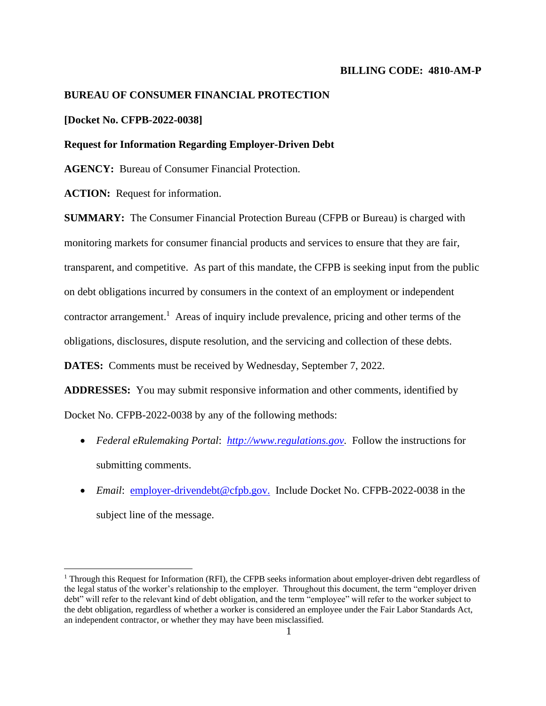### **BILLING CODE: 4810-AM-P**

### **BUREAU OF CONSUMER FINANCIAL PROTECTION**

### **[Docket No. CFPB-2022-0038]**

### **Request for Information Regarding Employer-Driven Debt**

**AGENCY:** Bureau of Consumer Financial Protection.

**ACTION:** Request for information.

**SUMMARY:** The Consumer Financial Protection Bureau (CFPB or Bureau) is charged with monitoring markets for consumer financial products and services to ensure that they are fair, transparent, and competitive. As part of this mandate, the CFPB is seeking input from the public on debt obligations incurred by consumers in the context of an employment or independent contractor arrangement.<sup>1</sup> Areas of inquiry include prevalence, pricing and other terms of the obligations, disclosures, dispute resolution, and the servicing and collection of these debts.

**DATES:** Comments must be received by Wednesday, September 7, 2022.

**ADDRESSES:** You may submit responsive information and other comments, identified by Docket No. CFPB-2022-0038 by any of the following methods:

- *Federal eRulemaking Portal*: *[http://www.regulations.gov.](http://www.regulations.gov/)* Follow the instructions for submitting comments.
- *Email*: employer-drivendebt@cfpb.gov. Include Docket No. CFPB-2022-0038 in the subject line of the message.

 $1$  Through this Request for Information (RFI), the CFPB seeks information about employer-driven debt regardless of the legal status of the worker's relationship to the employer. Throughout this document, the term "employer driven debt" will refer to the relevant kind of debt obligation, and the term "employee" will refer to the worker subject to the debt obligation, regardless of whether a worker is considered an employee under the Fair Labor Standards Act, an independent contractor, or whether they may have been misclassified.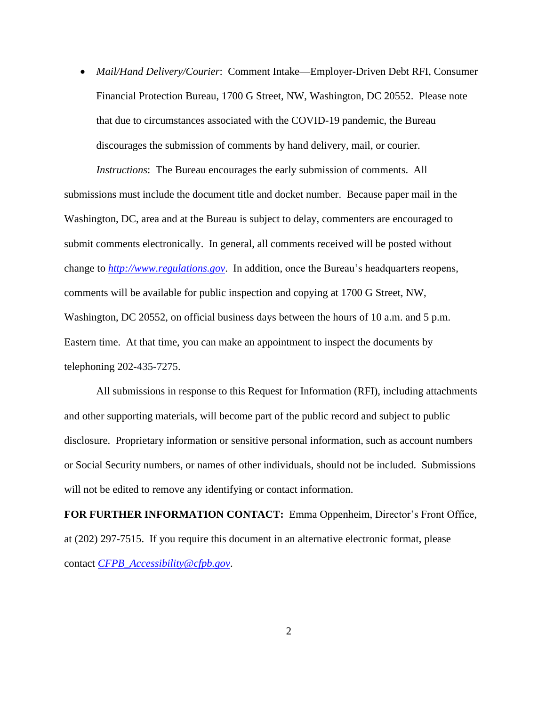• *Mail/Hand Delivery/Courier*: Comment Intake—Employer-Driven Debt RFI, Consumer Financial Protection Bureau, 1700 G Street, NW, Washington, DC 20552. Please note that due to circumstances associated with the COVID-19 pandemic, the Bureau discourages the submission of comments by hand delivery, mail, or courier.

*Instructions*: The Bureau encourages the early submission of comments. All submissions must include the document title and docket number. Because paper mail in the Washington, DC, area and at the Bureau is subject to delay, commenters are encouraged to submit comments electronically. In general, all comments received will be posted without change to *[http://www.regulations.gov](http://www.regulations.gov/)*. In addition, once the Bureau's headquarters reopens, comments will be available for public inspection and copying at 1700 G Street, NW, Washington, DC 20552, on official business days between the hours of 10 a.m. and 5 p.m. Eastern time. At that time, you can make an appointment to inspect the documents by telephoning 202-435-7275.

All submissions in response to this Request for Information (RFI), including attachments and other supporting materials, will become part of the public record and subject to public disclosure. Proprietary information or sensitive personal information, such as account numbers or Social Security numbers, or names of other individuals, should not be included. Submissions will not be edited to remove any identifying or contact information.

**FOR FURTHER INFORMATION CONTACT:** Emma Oppenheim, Director's Front Office, at (202) 297-7515. If you require this document in an alternative electronic format, please contact *[CFPB\\_Accessibility@cfpb.gov](mailto:CFPB_Accessibility@cfpb.gov)*.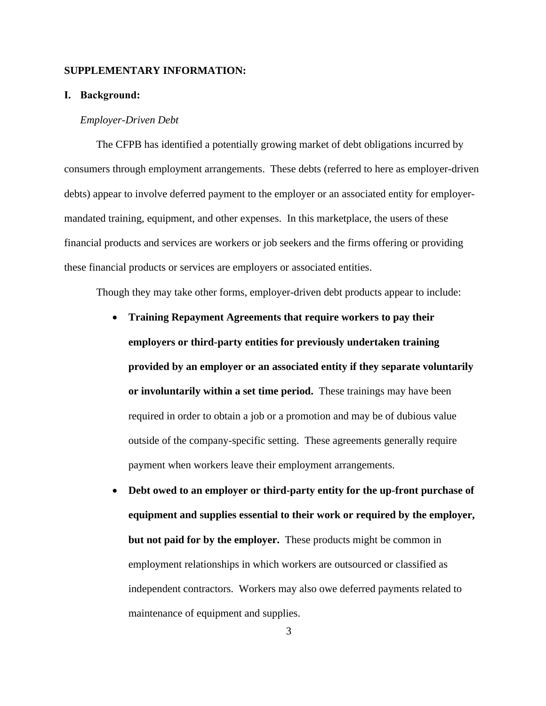### **SUPPLEMENTARY INFORMATION:**

### **I. Background:**

#### *Employer-Driven Debt*

The CFPB has identified a potentially growing market of debt obligations incurred by consumers through employment arrangements. These debts (referred to here as employer-driven debts) appear to involve deferred payment to the employer or an associated entity for employermandated training, equipment, and other expenses. In this marketplace, the users of these financial products and services are workers or job seekers and the firms offering or providing these financial products or services are employers or associated entities.

Though they may take other forms, employer-driven debt products appear to include:

- **Training Repayment Agreements that require workers to pay their employers or third-party entities for previously undertaken training provided by an employer or an associated entity if they separate voluntarily or involuntarily within a set time period.** These trainings may have been required in order to obtain a job or a promotion and may be of dubious value outside of the company-specific setting. These agreements generally require payment when workers leave their employment arrangements.
- **Debt owed to an employer or third-party entity for the up-front purchase of equipment and supplies essential to their work or required by the employer, but not paid for by the employer.** These products might be common in employment relationships in which workers are outsourced or classified as independent contractors. Workers may also owe deferred payments related to maintenance of equipment and supplies.

3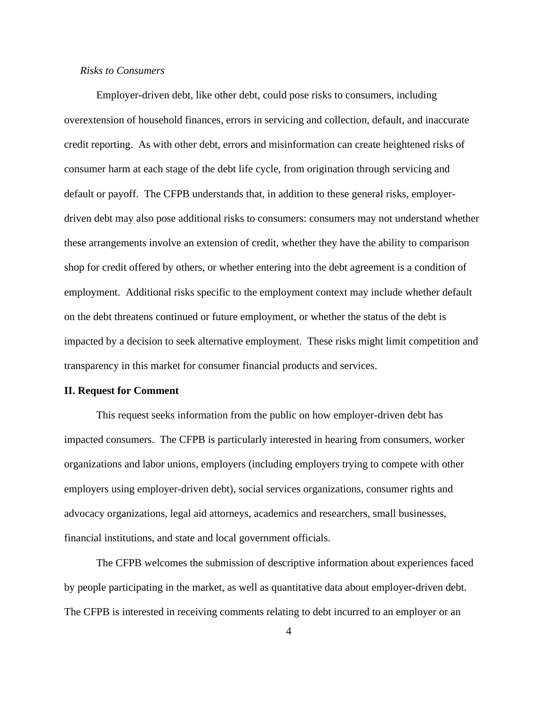## *Risks to Consumers*

Employer-driven debt, like other debt, could pose risks to consumers, including overextension of household finances, errors in servicing and collection, default, and inaccurate credit reporting. As with other debt, errors and misinformation can create heightened risks of consumer harm at each stage of the debt life cycle, from origination through servicing and default or payoff. The CFPB understands that, in addition to these general risks, employerdriven debt may also pose additional risks to consumers: consumers may not understand whether these arrangements involve an extension of credit, whether they have the ability to comparison shop for credit offered by others, or whether entering into the debt agreement is a condition of employment. Additional risks specific to the employment context may include whether default on the debt threatens continued or future employment, or whether the status of the debt is impacted by a decision to seek alternative employment. These risks might limit competition and transparency in this market for consumer financial products and services.

#### **II. Request for Comment**

This request seeks information from the public on how employer-driven debt has impacted consumers. The CFPB is particularly interested in hearing from consumers, worker organizations and labor unions, employers (including employers trying to compete with other employers using employer-driven debt), social services organizations, consumer rights and advocacy organizations, legal aid attorneys, academics and researchers, small businesses, financial institutions, and state and local government officials.

The CFPB welcomes the submission of descriptive information about experiences faced by people participating in the market, as well as quantitative data about employer-driven debt. The CFPB is interested in receiving comments relating to debt incurred to an employer or an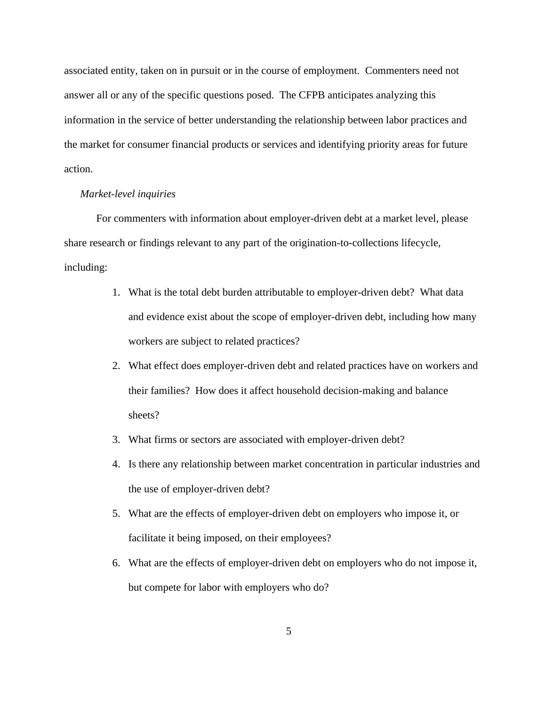associated entity, taken on in pursuit or in the course of employment. Commenters need not answer all or any of the specific questions posed. The CFPB anticipates analyzing this information in the service of better understanding the relationship between labor practices and the market for consumer financial products or services and identifying priority areas for future action.

### *Market-level inquiries*

For commenters with information about employer-driven debt at a market level, please share research or findings relevant to any part of the origination-to-collections lifecycle, including:

- 1. What is the total debt burden attributable to employer-driven debt? What data and evidence exist about the scope of employer-driven debt, including how many workers are subject to related practices?
- 2. What effect does employer-driven debt and related practices have on workers and their families? How does it affect household decision-making and balance sheets?
- 3. What firms or sectors are associated with employer-driven debt?
- 4. Is there any relationship between market concentration in particular industries and the use of employer-driven debt?
- 5. What are the effects of employer-driven debt on employers who impose it, or facilitate it being imposed, on their employees?
- 6. What are the effects of employer-driven debt on employers who do not impose it, but compete for labor with employers who do?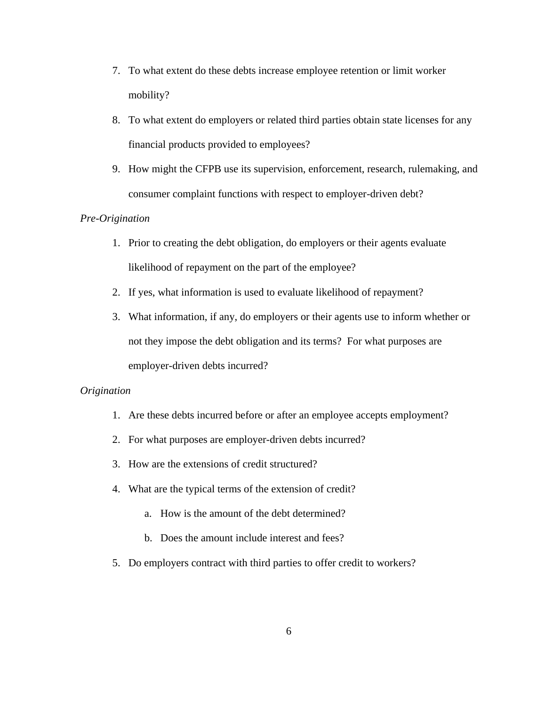- 7. To what extent do these debts increase employee retention or limit worker mobility?
- 8. To what extent do employers or related third parties obtain state licenses for any financial products provided to employees?
- 9. How might the CFPB use its supervision, enforcement, research, rulemaking, and consumer complaint functions with respect to employer-driven debt?

## *Pre-Origination*

- 1. Prior to creating the debt obligation, do employers or their agents evaluate likelihood of repayment on the part of the employee?
- 2. If yes, what information is used to evaluate likelihood of repayment?
- 3. What information, if any, do employers or their agents use to inform whether or not they impose the debt obligation and its terms? For what purposes are employer-driven debts incurred?

### *Origination*

- 1. Are these debts incurred before or after an employee accepts employment?
- 2. For what purposes are employer-driven debts incurred?
- 3. How are the extensions of credit structured?
- 4. What are the typical terms of the extension of credit?
	- a. How is the amount of the debt determined?
	- b. Does the amount include interest and fees?
- 5. Do employers contract with third parties to offer credit to workers?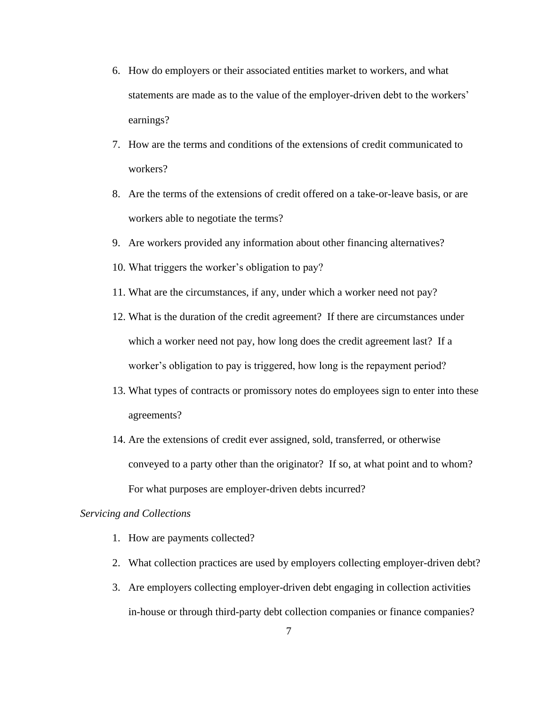- 6. How do employers or their associated entities market to workers, and what statements are made as to the value of the employer-driven debt to the workers' earnings?
- 7. How are the terms and conditions of the extensions of credit communicated to workers?
- 8. Are the terms of the extensions of credit offered on a take-or-leave basis, or are workers able to negotiate the terms?
- 9. Are workers provided any information about other financing alternatives?
- 10. What triggers the worker's obligation to pay?
- 11. What are the circumstances, if any, under which a worker need not pay?
- 12. What is the duration of the credit agreement? If there are circumstances under which a worker need not pay, how long does the credit agreement last? If a worker's obligation to pay is triggered, how long is the repayment period?
- 13. What types of contracts or promissory notes do employees sign to enter into these agreements?
- 14. Are the extensions of credit ever assigned, sold, transferred, or otherwise conveyed to a party other than the originator? If so, at what point and to whom? For what purposes are employer-driven debts incurred?

#### *Servicing and Collections*

- 1. How are payments collected?
- 2. What collection practices are used by employers collecting employer-driven debt?
- 3. Are employers collecting employer-driven debt engaging in collection activities in-house or through third-party debt collection companies or finance companies?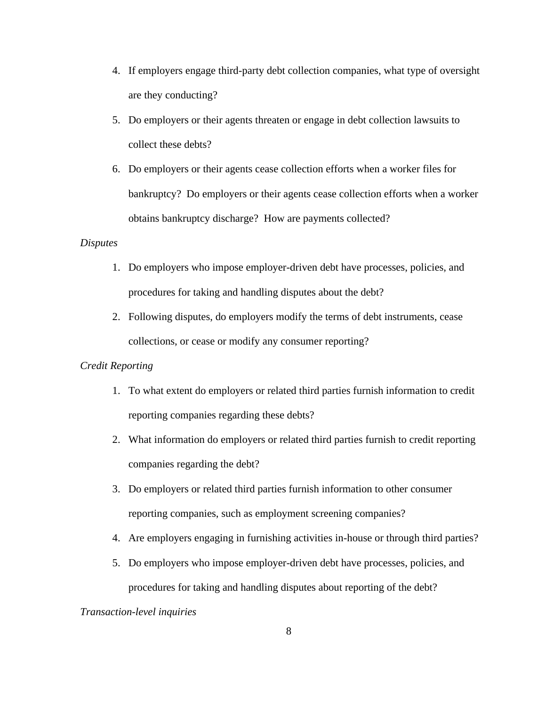- 4. If employers engage third-party debt collection companies, what type of oversight are they conducting?
- 5. Do employers or their agents threaten or engage in debt collection lawsuits to collect these debts?
- 6. Do employers or their agents cease collection efforts when a worker files for bankruptcy? Do employers or their agents cease collection efforts when a worker obtains bankruptcy discharge? How are payments collected?

## *Disputes*

- 1. Do employers who impose employer-driven debt have processes, policies, and procedures for taking and handling disputes about the debt?
- 2. Following disputes, do employers modify the terms of debt instruments, cease collections, or cease or modify any consumer reporting?

## *Credit Reporting*

- 1. To what extent do employers or related third parties furnish information to credit reporting companies regarding these debts?
- 2. What information do employers or related third parties furnish to credit reporting companies regarding the debt?
- 3. Do employers or related third parties furnish information to other consumer reporting companies, such as employment screening companies?
- 4. Are employers engaging in furnishing activities in-house or through third parties?
- 5. Do employers who impose employer-driven debt have processes, policies, and procedures for taking and handling disputes about reporting of the debt?

## *Transaction-level inquiries*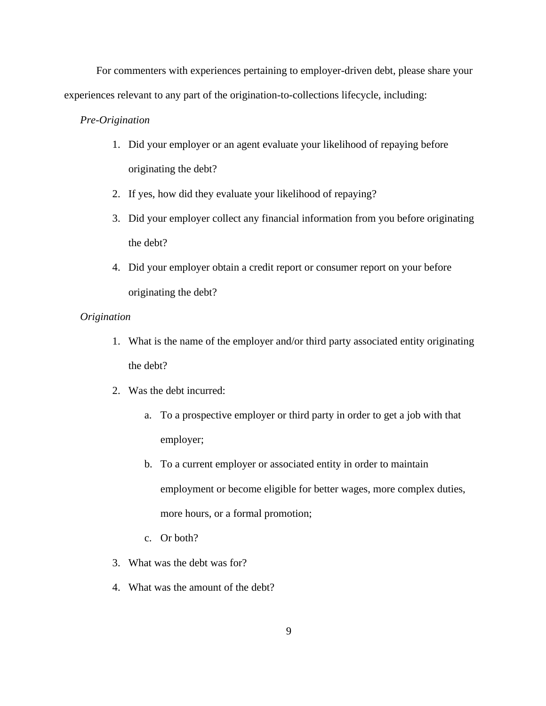For commenters with experiences pertaining to employer-driven debt, please share your experiences relevant to any part of the origination-to-collections lifecycle, including:

## *Pre-Origination*

- 1. Did your employer or an agent evaluate your likelihood of repaying before originating the debt?
- 2. If yes, how did they evaluate your likelihood of repaying?
- 3. Did your employer collect any financial information from you before originating the debt?
- 4. Did your employer obtain a credit report or consumer report on your before originating the debt?

## *Origination*

- 1. What is the name of the employer and/or third party associated entity originating the debt?
- 2. Was the debt incurred:
	- a. To a prospective employer or third party in order to get a job with that employer;
	- b. To a current employer or associated entity in order to maintain employment or become eligible for better wages, more complex duties, more hours, or a formal promotion;
	- c. Or both?
- 3. What was the debt was for?
- 4. What was the amount of the debt?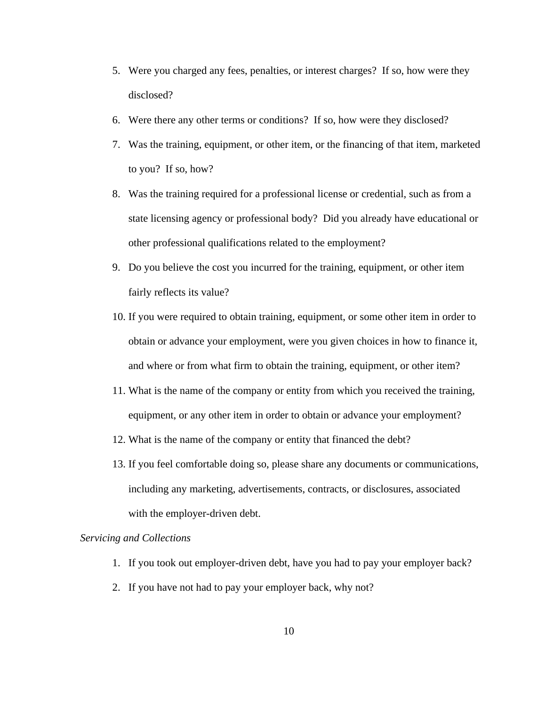- 5. Were you charged any fees, penalties, or interest charges? If so, how were they disclosed?
- 6. Were there any other terms or conditions? If so, how were they disclosed?
- 7. Was the training, equipment, or other item, or the financing of that item, marketed to you? If so, how?
- 8. Was the training required for a professional license or credential, such as from a state licensing agency or professional body? Did you already have educational or other professional qualifications related to the employment?
- 9. Do you believe the cost you incurred for the training, equipment, or other item fairly reflects its value?
- 10. If you were required to obtain training, equipment, or some other item in order to obtain or advance your employment, were you given choices in how to finance it, and where or from what firm to obtain the training, equipment, or other item?
- 11. What is the name of the company or entity from which you received the training, equipment, or any other item in order to obtain or advance your employment?
- 12. What is the name of the company or entity that financed the debt?
- 13. If you feel comfortable doing so, please share any documents or communications, including any marketing, advertisements, contracts, or disclosures, associated with the employer-driven debt.

## *Servicing and Collections*

- 1. If you took out employer-driven debt, have you had to pay your employer back?
- 2. If you have not had to pay your employer back, why not?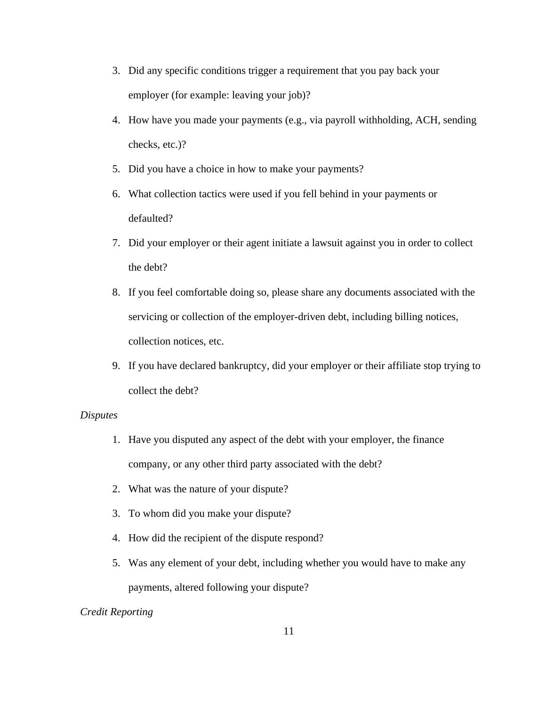- 3. Did any specific conditions trigger a requirement that you pay back your employer (for example: leaving your job)?
- 4. How have you made your payments (e.g., via payroll withholding, ACH, sending checks, etc.)?
- 5. Did you have a choice in how to make your payments?
- 6. What collection tactics were used if you fell behind in your payments or defaulted?
- 7. Did your employer or their agent initiate a lawsuit against you in order to collect the debt?
- 8. If you feel comfortable doing so, please share any documents associated with the servicing or collection of the employer-driven debt, including billing notices, collection notices, etc.
- 9. If you have declared bankruptcy, did your employer or their affiliate stop trying to collect the debt?

## *Disputes*

- 1. Have you disputed any aspect of the debt with your employer, the finance company, or any other third party associated with the debt?
- 2. What was the nature of your dispute?
- 3. To whom did you make your dispute?
- 4. How did the recipient of the dispute respond?
- 5. Was any element of your debt, including whether you would have to make any payments, altered following your dispute?

# *Credit Reporting*